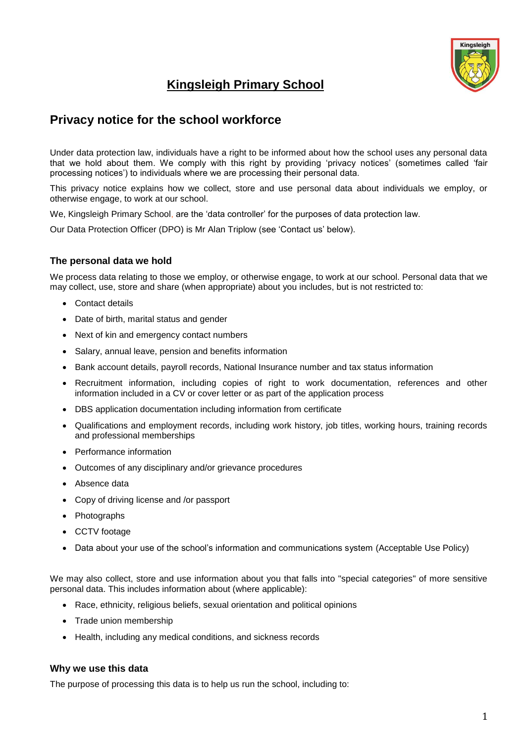

# **Kingsleigh Primary School**

## **Privacy notice for the school workforce**

Under data protection law, individuals have a right to be informed about how the school uses any personal data that we hold about them. We comply with this right by providing 'privacy notices' (sometimes called 'fair processing notices') to individuals where we are processing their personal data.

This privacy notice explains how we collect, store and use personal data about individuals we employ, or otherwise engage, to work at our school.

We, Kingsleigh Primary School, are the 'data controller' for the purposes of data protection law.

Our Data Protection Officer (DPO) is Mr Alan Triplow (see 'Contact us' below).

## **The personal data we hold**

We process data relating to those we employ, or otherwise engage, to work at our school. Personal data that we may collect, use, store and share (when appropriate) about you includes, but is not restricted to:

- Contact details
- Date of birth, marital status and gender
- Next of kin and emergency contact numbers
- Salary, annual leave, pension and benefits information
- Bank account details, payroll records, National Insurance number and tax status information
- Recruitment information, including copies of right to work documentation, references and other information included in a CV or cover letter or as part of the application process
- DBS application documentation including information from certificate
- Qualifications and employment records, including work history, job titles, working hours, training records and professional memberships
- Performance information
- Outcomes of any disciplinary and/or grievance procedures
- Absence data
- Copy of driving license and /or passport
- Photographs
- CCTV footage
- Data about your use of the school's information and communications system (Acceptable Use Policy)

We may also collect, store and use information about you that falls into "special categories" of more sensitive personal data. This includes information about (where applicable):

- Race, ethnicity, religious beliefs, sexual orientation and political opinions
- Trade union membership
- Health, including any medical conditions, and sickness records

#### **Why we use this data**

The purpose of processing this data is to help us run the school, including to: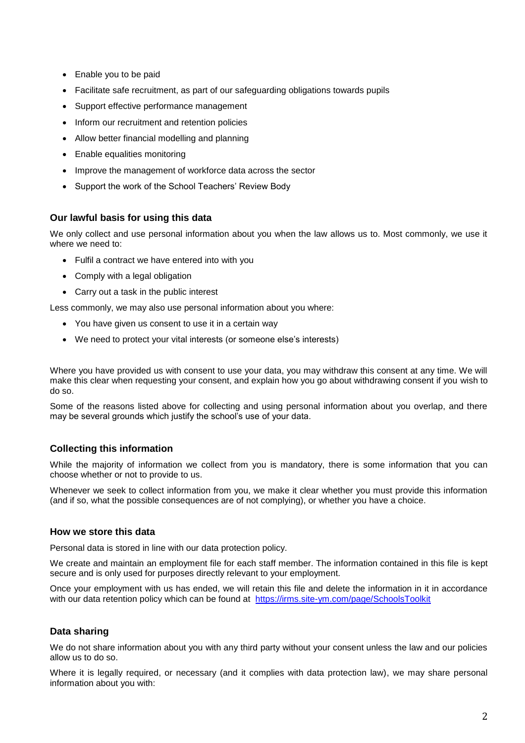- Enable you to be paid
- Facilitate safe recruitment, as part of our safeguarding obligations towards pupils
- Support effective performance management
- Inform our recruitment and retention policies
- Allow better financial modelling and planning
- Enable equalities monitoring
- Improve the management of workforce data across the sector
- Support the work of the School Teachers' Review Body

## **Our lawful basis for using this data**

We only collect and use personal information about you when the law allows us to. Most commonly, we use it where we need to:

- Fulfil a contract we have entered into with you
- Comply with a legal obligation
- Carry out a task in the public interest

Less commonly, we may also use personal information about you where:

- You have given us consent to use it in a certain way
- We need to protect your vital interests (or someone else's interests)

Where you have provided us with consent to use your data, you may withdraw this consent at any time. We will make this clear when requesting your consent, and explain how you go about withdrawing consent if you wish to do so.

Some of the reasons listed above for collecting and using personal information about you overlap, and there may be several grounds which justify the school's use of your data.

## **Collecting this information**

While the majority of information we collect from you is mandatory, there is some information that you can choose whether or not to provide to us.

Whenever we seek to collect information from you, we make it clear whether you must provide this information (and if so, what the possible consequences are of not complying), or whether you have a choice.

#### **How we store this data**

Personal data is stored in line with our data protection policy.

We create and maintain an employment file for each staff member. The information contained in this file is kept secure and is only used for purposes directly relevant to your employment.

Once your employment with us has ended, we will retain this file and delete the information in it in accordance with our data retention policy which can be found at <https://irms.site-ym.com/page/SchoolsToolkit>

## **Data sharing**

We do not share information about you with any third party without your consent unless the law and our policies allow us to do so.

Where it is legally required, or necessary (and it complies with data protection law), we may share personal information about you with: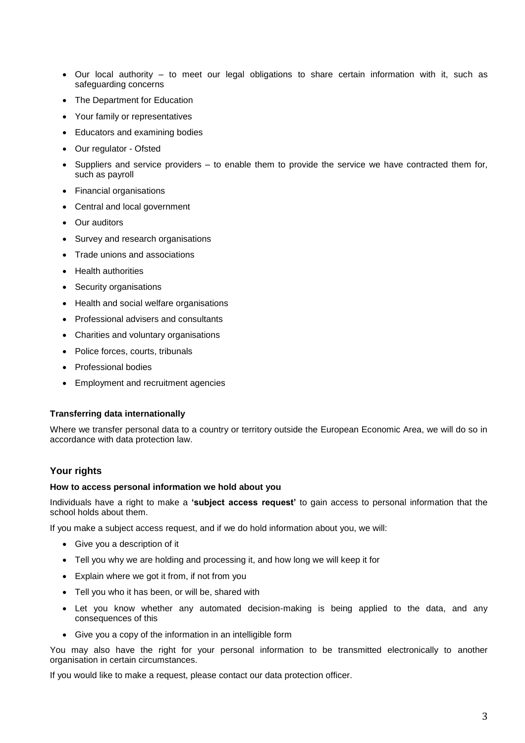- Our local authority to meet our legal obligations to share certain information with it, such as safeguarding concerns
- The Department for Education
- Your family or representatives
- Educators and examining bodies
- Our regulator Ofsted
- Suppliers and service providers to enable them to provide the service we have contracted them for, such as payroll
- Financial organisations
- Central and local government
- Our auditors
- Survey and research organisations
- Trade unions and associations
- Health authorities
- Security organisations
- Health and social welfare organisations
- Professional advisers and consultants
- Charities and voluntary organisations
- Police forces, courts, tribunals
- Professional bodies
- Employment and recruitment agencies

#### **Transferring data internationally**

Where we transfer personal data to a country or territory outside the European Economic Area, we will do so in accordance with data protection law.

#### **Your rights**

#### **How to access personal information we hold about you**

Individuals have a right to make a **'subject access request'** to gain access to personal information that the school holds about them.

If you make a subject access request, and if we do hold information about you, we will:

- Give you a description of it
- Tell you why we are holding and processing it, and how long we will keep it for
- Explain where we got it from, if not from you
- Tell you who it has been, or will be, shared with
- Let you know whether any automated decision-making is being applied to the data, and any consequences of this
- Give you a copy of the information in an intelligible form

You may also have the right for your personal information to be transmitted electronically to another organisation in certain circumstances.

If you would like to make a request, please contact our data protection officer.